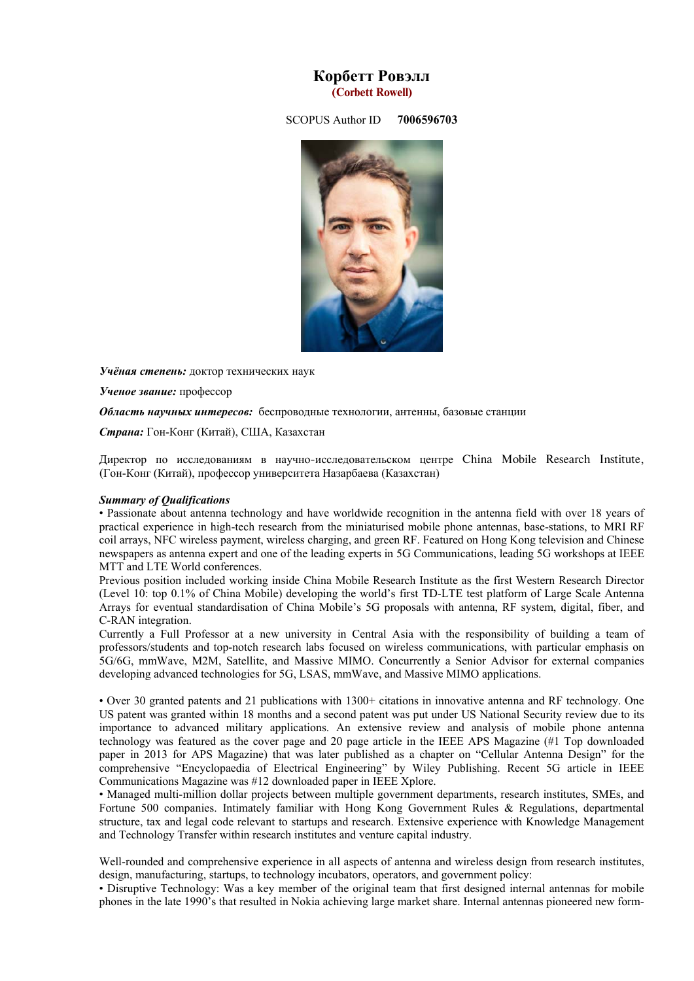# **Корбетт Ровэлл (Corbett Rowell)**

SCOPUS Author ID **7006596703**



*Учёная степень:* доктор технических наук

*Ученое звание:* профессор

*Область научных интересов:* беспроводные технологии, антенны, базовые станции

*Страна:* Гон-Конг (Китай), США, Казахстан

Директор по исследованиям в научно-исследовательском центре China Mobile Research Institute, (Гон-Конг (Китай), профессор университета Назарбаева (Казахстан)

#### *Summary of Qualifications*

• Passionate about antenna technology and have worldwide recognition in the antenna field with over 18 years of practical experience in high-tech research from the miniaturised mobile phone antennas, base-stations, to MRI RF coil arrays, NFC wireless payment, wireless charging, and green RF. Featured on Hong Kong television and Chinese newspapers as antenna expert and one of the leading experts in 5G Communications, leading 5G workshops at IEEE MTT and LTE World conferences.

Previous position included working inside China Mobile Research Institute as the first Western Research Director (Level 10: top 0.1% of China Mobile) developing the world's first TD-LTE test platform of Large Scale Antenna Arrays for eventual standardisation of China Mobile's 5G proposals with antenna, RF system, digital, fiber, and C-RAN integration.

Currently a Full Professor at a new university in Central Asia with the responsibility of building a team of professors/students and top-notch research labs focused on wireless communications, with particular emphasis on 5G/6G, mmWave, M2M, Satellite, and Massive MIMO. Concurrently a Senior Advisor for external companies developing advanced technologies for 5G, LSAS, mmWave, and Massive MIMO applications.

• Over 30 granted patents and 21 publications with 1300+ citations in innovative antenna and RF technology. One US patent was granted within 18 months and a second patent was put under US National Security review due to its importance to advanced military applications. An extensive review and analysis of mobile phone antenna technology was featured as the cover page and 20 page article in the IEEE APS Magazine (#1 Top downloaded paper in 2013 for APS Magazine) that was later published as a chapter on "Cellular Antenna Design" for the comprehensive "Encyclopaedia of Electrical Engineering" by Wiley Publishing. Recent 5G article in IEEE Communications Magazine was #12 downloaded paper in IEEE Xplore.

• Managed multi-million dollar projects between multiple government departments, research institutes, SMEs, and Fortune 500 companies. Intimately familiar with Hong Kong Government Rules & Regulations, departmental structure, tax and legal code relevant to startups and research. Extensive experience with Knowledge Management and Technology Transfer within research institutes and venture capital industry.

Well-rounded and comprehensive experience in all aspects of antenna and wireless design from research institutes, design, manufacturing, startups, to technology incubators, operators, and government policy:

• Disruptive Technology: Was a key member of the original team that first designed internal antennas for mobile phones in the late 1990's that resulted in Nokia achieving large market share. Internal antennas pioneered new form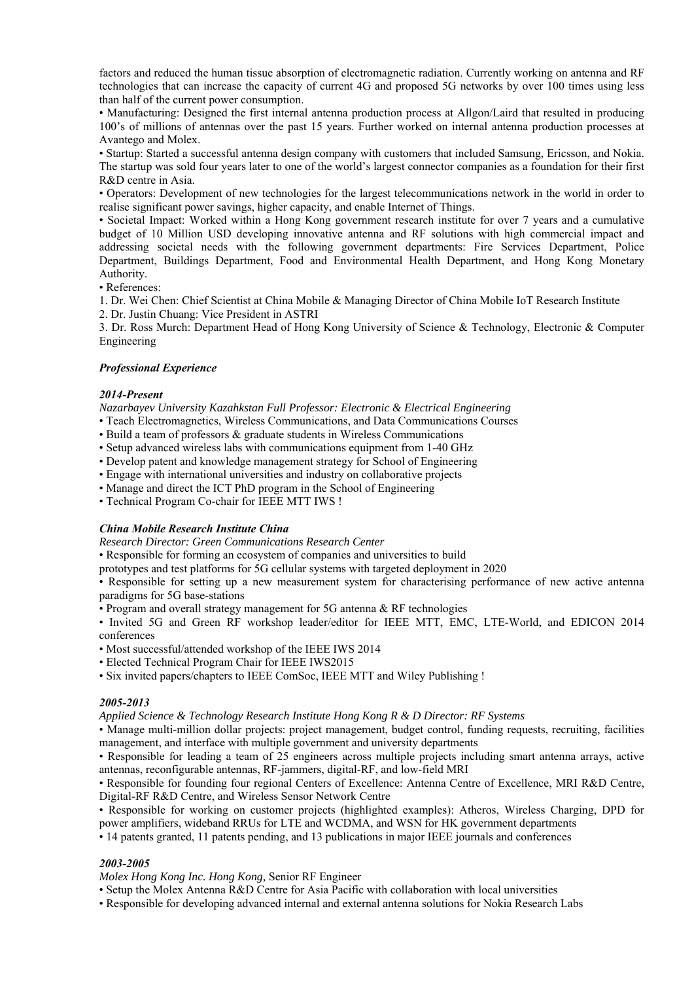factors and reduced the human tissue absorption of electromagnetic radiation. Currently working on antenna and RF technologies that can increase the capacity of current 4G and proposed 5G networks by over 100 times using less than half of the current power consumption.

• Manufacturing: Designed the first internal antenna production process at Allgon/Laird that resulted in producing 100's of millions of antennas over the past 15 years. Further worked on internal antenna production processes at Avantego and Molex.

• Startup: Started a successful antenna design company with customers that included Samsung, Ericsson, and Nokia. The startup was sold four years later to one of the world's largest connector companies as a foundation for their first R&D centre in Asia.

• Operators: Development of new technologies for the largest telecommunications network in the world in order to realise significant power savings, higher capacity, and enable Internet of Things.

• Societal Impact: Worked within a Hong Kong government research institute for over 7 years and a cumulative budget of 10 Million USD developing innovative antenna and RF solutions with high commercial impact and addressing societal needs with the following government departments: Fire Services Department, Police Department, Buildings Department, Food and Environmental Health Department, and Hong Kong Monetary Authority.

• References:

1. Dr. Wei Chen: Chief Scientist at China Mobile & Managing Director of China Mobile IoT Research Institute

2. Dr. Justin Chuang: Vice President in ASTRI

3. Dr. Ross Murch: Department Head of Hong Kong University of Science & Technology, Electronic & Computer Engineering

### *Professional Experience*

#### *2014-Present*

*Nazarbayev University Kazahkstan Full Professor: Electronic & Electrical Engineering* 

• Teach Electromagnetics, Wireless Communications, and Data Communications Courses

- Build a team of professors & graduate students in Wireless Communications
- Setup advanced wireless labs with communications equipment from 1-40 GHz
- Develop patent and knowledge management strategy for School of Engineering
- Engage with international universities and industry on collaborative projects
- Manage and direct the ICT PhD program in the School of Engineering
- Technical Program Co-chair for IEEE MTT IWS !

### *China Mobile Research Institute China*

*Research Director: Green Communications Research Center* 

- Responsible for forming an ecosystem of companies and universities to build
- prototypes and test platforms for 5G cellular systems with targeted deployment in 2020

• Responsible for setting up a new measurement system for characterising performance of new active antenna paradigms for 5G base-stations

• Program and overall strategy management for 5G antenna & RF technologies

• Invited 5G and Green RF workshop leader/editor for IEEE MTT, EMC, LTE-World, and EDICON 2014 conferences

- Most successful/attended workshop of the IEEE IWS 2014
- Elected Technical Program Chair for IEEE IWS2015
- Six invited papers/chapters to IEEE ComSoc, IEEE MTT and Wiley Publishing !

#### *2005-2013*

*Applied Science & Technology Research Institute Hong Kong R & D Director: RF Systems* 

• Manage multi-million dollar projects: project management, budget control, funding requests, recruiting, facilities management, and interface with multiple government and university departments

• Responsible for leading a team of 25 engineers across multiple projects including smart antenna arrays, active antennas, reconfigurable antennas, RF-jammers, digital-RF, and low-field MRI

• Responsible for founding four regional Centers of Excellence: Antenna Centre of Excellence, MRI R&D Centre, Digital-RF R&D Centre, and Wireless Sensor Network Centre

• Responsible for working on customer projects (highlighted examples): Atheros, Wireless Charging, DPD for power amplifiers, wideband RRUs for LTE and WCDMA, and WSN for HK government departments

• 14 patents granted, 11 patents pending, and 13 publications in major IEEE journals and conferences

## *2003-2005*

*Molex Hong Kong Inc. Hong Kong,* Senior RF Engineer

- Setup the Molex Antenna R&D Centre for Asia Pacific with collaboration with local universities
- Responsible for developing advanced internal and external antenna solutions for Nokia Research Labs